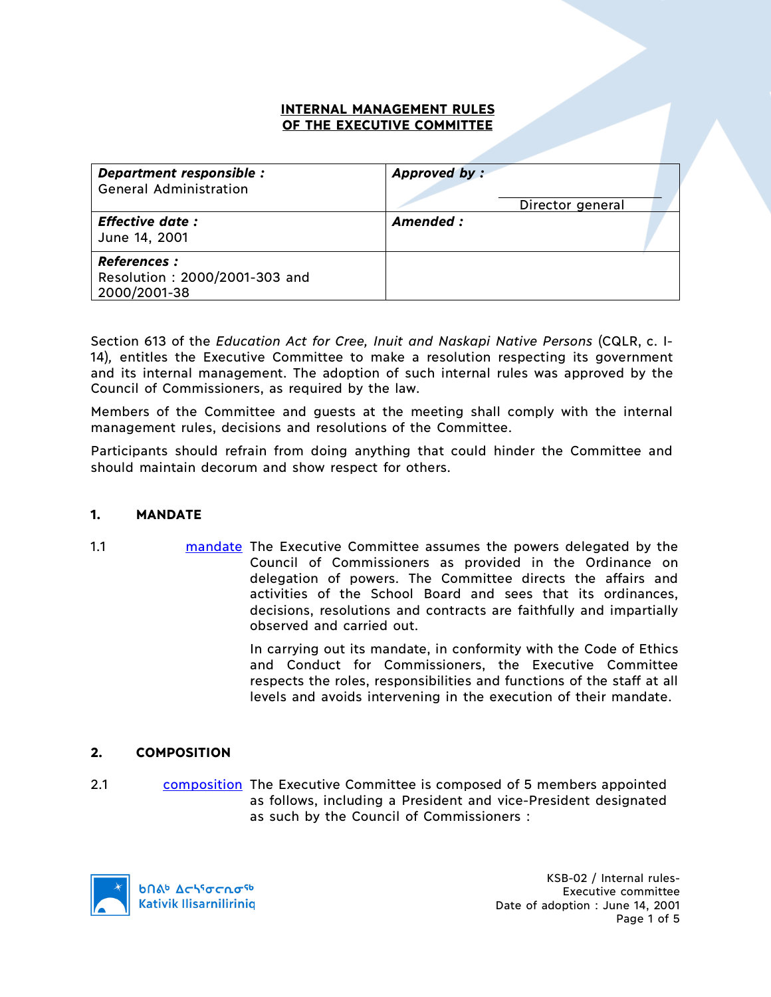### **INTERNAL MANAGEMENT RULES OF THE EXECUTIVE COMMITTEE**

| Department responsible :<br><b>General Administration</b>           | Approved by:<br>Director general |
|---------------------------------------------------------------------|----------------------------------|
| <b>Effective date:</b><br>June 14, 2001                             | Amended :                        |
| <b>References:</b><br>Resolution: 2000/2001-303 and<br>2000/2001-38 |                                  |

Section 613 of the *Education Act for Cree, Inuit and Naskapi Native Persons* (CQLR, c. I-14)*,* entitles the Executive Committee to make a resolution respecting its government and its internal management. The adoption of such internal rules was approved by the Council of Commissioners, as required by the law.

Members of the Committee and guests at the meeting shall comply with the internal management rules, decisions and resolutions of the Committee.

Participants should refrain from doing anything that could hinder the Committee and should maintain decorum and show respect for others.

### **1. MANDATE**

1.1 mandate The Executive Committee assumes the powers delegated by the Council of Commissioners as provided in the Ordinance on delegation of powers. The Committee directs the affairs and activities of the School Board and sees that its ordinances, decisions, resolutions and contracts are faithfully and impartially observed and carried out.

> In carrying out its mandate, in conformity with the Code of Ethics and Conduct for Commissioners, the Executive Committee respects the roles, responsibilities and functions of the staff at all levels and avoids intervening in the execution of their mandate.

### **2. COMPOSITION**

2.1 composition The Executive Committee is composed of 5 members appointed as follows, including a President and vice-President designated as such by the Council of Commissioners :

**b**Πል<sup>b</sup> Δςιγσς ησ<sup>ς 6</sup> **Kativik Ilisarniliriniq** 

KSB-02 / Internal rules-Executive committee Date of adoption : June 14, 2001 Page 1 of 5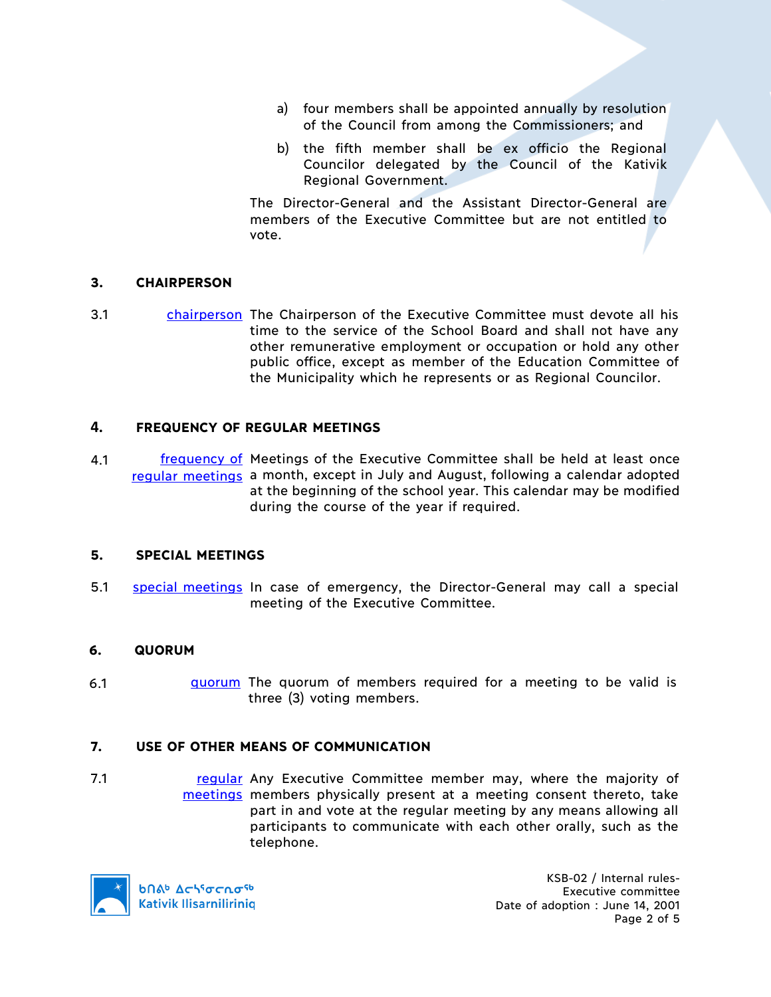- a) four members shall be appointed annually by resolution of the Council from among the Commissioners; and
- b) the fifth member shall be ex officio the Regional Councilor delegated by the Council of the Kativik Regional Government.

The Director-General and the Assistant Director-General are members of the Executive Committee but are not entitled to vote.

# **3. CHAIRPERSON**

3.1 chairperson The Chairperson of the Executive Committee must devote all his time to the service of the School Board and shall not have any other remunerative employment or occupation or hold any other public office, except as member of the Education Committee of the Municipality which he represents or as Regional Councilor.

### **4. FREQUENCY OF REGULAR MEETINGS**

4.1 **frequency of Meetings of the Executive Committee shall be held at least once** regular meetings a month, except in July and August, following a calendar adopted at the beginning of the school year. This calendar may be modified during the course of the year if required.

### **5. SPECIAL MEETINGS**

5.1 special meetings In case of emergency, the Director-General may call a special meeting of the Executive Committee.

### **6. QUORUM**

6.1 **quorum** The quorum of members required for a meeting to be valid is three (3) voting members.

### **7. USE OF OTHER MEANS OF COMMUNICATION**

7.1 **regular** Any Executive Committee member may, where the majority of meetings members physically present at a meeting consent thereto, take part in and vote at the regular meeting by any means allowing all participants to communicate with each other orally, such as the telephone.



**b**Πል<sup>b</sup> Δςιγσς ησ<sup>ς 6</sup> **Kativik Ilisarniliriniq** 

KSB-02 / Internal rules-Executive committee Date of adoption : June 14, 2001 Page 2 of 5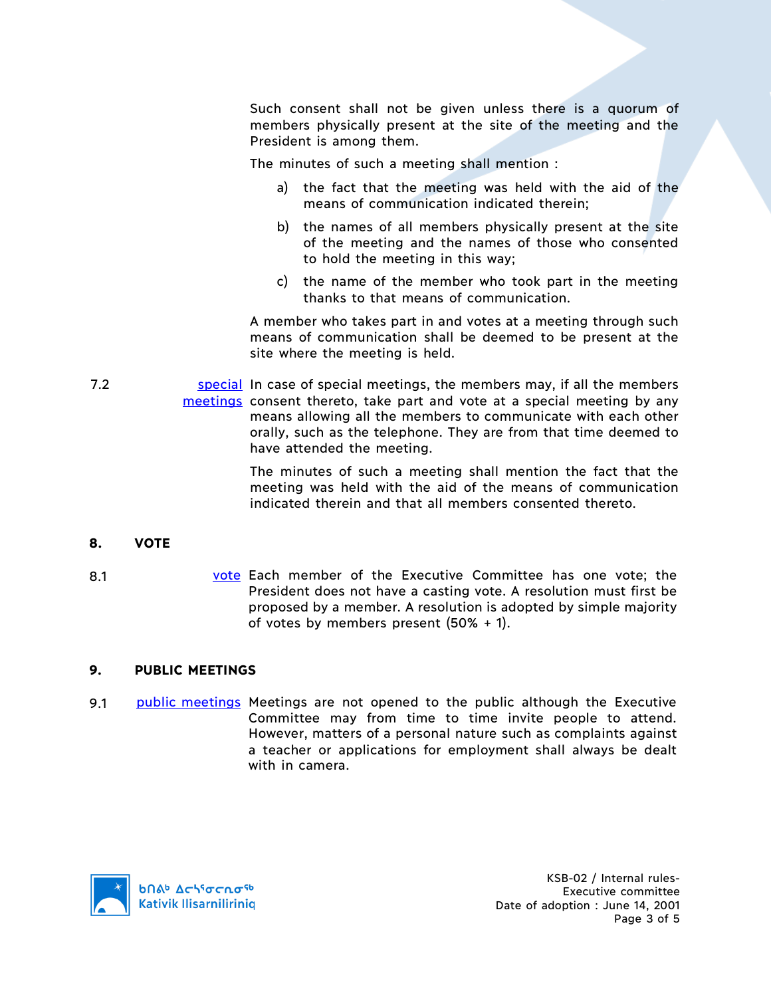Such consent shall not be given unless there is a quorum of members physically present at the site of the meeting and the President is among them.

The minutes of such a meeting shall mention :

- a) the fact that the meeting was held with the aid of the means of communication indicated therein;
- b) the names of all members physically present at the site of the meeting and the names of those who consented to hold the meeting in this way;
- c) the name of the member who took part in the meeting thanks to that means of communication.

A member who takes part in and votes at a meeting through such means of communication shall be deemed to be present at the site where the meeting is held.

7.2 **Special In case of special meetings, the members may, if all the members** meetings consent thereto, take part and vote at a special meeting by any means allowing all the members to communicate with each other orally, such as the telephone. They are from that time deemed to have attended the meeting.

> The minutes of such a meeting shall mention the fact that the meeting was held with the aid of the means of communication indicated therein and that all members consented thereto.

# **8. VOTE**

8.1 vote Each member of the Executive Committee has one vote; the President does not have a casting vote. A resolution must first be proposed by a member. A resolution is adopted by simple majority of votes by members present (50% + 1).

### **9. PUBLIC MEETINGS**

9.1 public meetings Meetings are not opened to the public although the Executive Committee may from time to time invite people to attend. However, matters of a personal nature such as complaints against a teacher or applications for employment shall always be dealt with in camera.

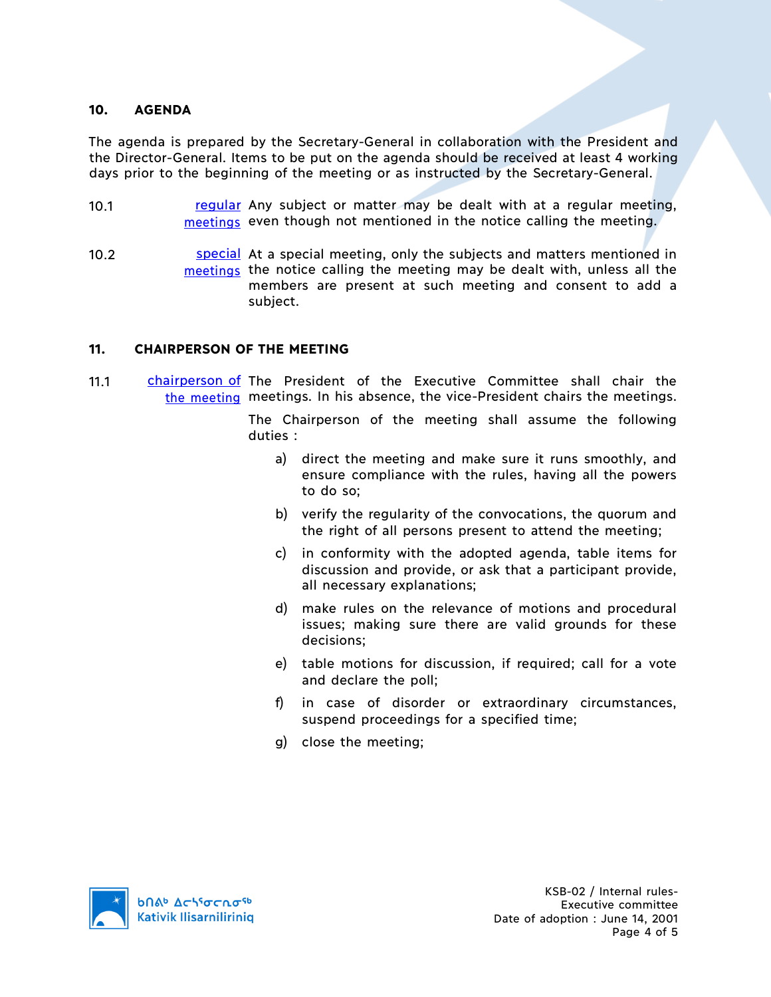### **10. AGENDA**

The agenda is prepared by the Secretary-General in collaboration with the President and the Director-General. Items to be put on the agenda should be received at least 4 working days prior to the beginning of the meeting or as instructed by the Secretary-General.

- 10.1 **regular** Any subject or matter may be dealt with at a regular meeting, meetings even though not mentioned in the notice calling the meeting.
- 10.2 **SIMILE 10.2** SHE SPECIAL At a special meeting, only the subjects and matters mentioned in meetings the notice calling the meeting may be dealt with, unless all the members are present at such meeting and consent to add a subject.

# **11. CHAIRPERSON OF THE MEETING**

11.1 chairperson of The President of the Executive Committee shall chair the the meeting meetings. In his absence, the vice-President chairs the meetings.

> The Chairperson of the meeting shall assume the following duties :

- a) direct the meeting and make sure it runs smoothly, and ensure compliance with the rules, having all the powers to do so;
- b) verify the regularity of the convocations, the quorum and the right of all persons present to attend the meeting;
- c) in conformity with the adopted agenda, table items for discussion and provide, or ask that a participant provide, all necessary explanations;
- d) make rules on the relevance of motions and procedural issues; making sure there are valid grounds for these decisions;
- e) table motions for discussion, if required; call for a vote and declare the poll;
- f) in case of disorder or extraordinary circumstances, suspend proceedings for a specified time;
- g) close the meeting;